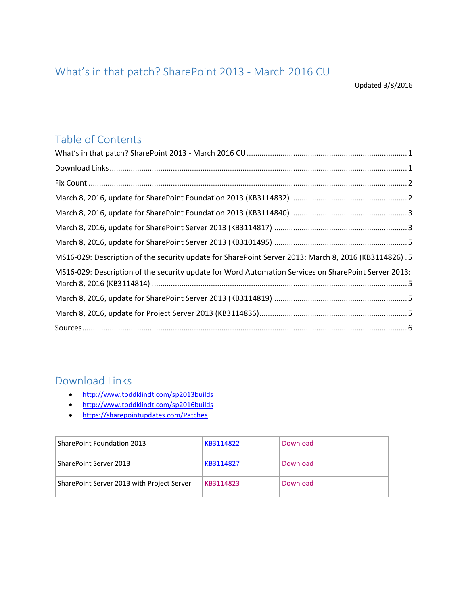# <span id="page-0-0"></span>What's in that patch? SharePoint 2013 - March 2016 CU

Updated 3/8/2016

## Table of Contents

| MS16-029: Description of the security update for SharePoint Server 2013: March 8, 2016 (KB3114826) .5 |  |
|-------------------------------------------------------------------------------------------------------|--|
| MS16-029: Description of the security update for Word Automation Services on SharePoint Server 2013:  |  |
|                                                                                                       |  |
|                                                                                                       |  |
|                                                                                                       |  |

## <span id="page-0-1"></span>Download Links

- <http://www.toddklindt.com/sp2013builds>
- <http://www.toddklindt.com/sp2016builds>
- <https://sharepointupdates.com/Patches>

| SharePoint Foundation 2013                 | KB3114822 | Download |
|--------------------------------------------|-----------|----------|
| SharePoint Server 2013                     | KB3114827 | Download |
| SharePoint Server 2013 with Project Server | KB3114823 | Download |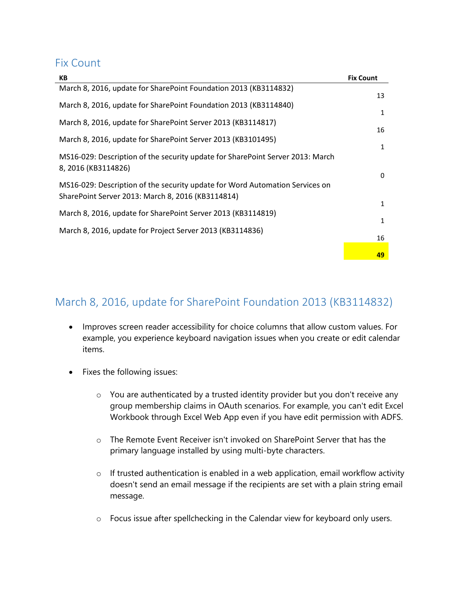#### <span id="page-1-0"></span>Fix Count

| KB                                                                                                                                | <b>Fix Count</b> |
|-----------------------------------------------------------------------------------------------------------------------------------|------------------|
| March 8, 2016, update for SharePoint Foundation 2013 (KB3114832)                                                                  | 13               |
| March 8, 2016, update for SharePoint Foundation 2013 (KB3114840)                                                                  | 1                |
| March 8, 2016, update for SharePoint Server 2013 (KB3114817)                                                                      | 16               |
| March 8, 2016, update for SharePoint Server 2013 (KB3101495)                                                                      | 1                |
| MS16-029: Description of the security update for SharePoint Server 2013: March<br>8, 2016 (KB3114826)                             | $\mathbf{0}$     |
| MS16-029: Description of the security update for Word Automation Services on<br>SharePoint Server 2013: March 8, 2016 (KB3114814) | $\mathbf{1}$     |
| March 8, 2016, update for SharePoint Server 2013 (KB3114819)                                                                      |                  |
| March 8, 2016, update for Project Server 2013 (KB3114836)                                                                         | 1                |
|                                                                                                                                   | 16               |
|                                                                                                                                   | 49               |

#### <span id="page-1-1"></span>March 8, 2016, update for SharePoint Foundation 2013 (KB3114832)

- Improves screen reader accessibility for choice columns that allow custom values. For example, you experience keyboard navigation issues when you create or edit calendar items.
- Fixes the following issues:
	- o You are authenticated by a trusted identity provider but you don't receive any group membership claims in OAuth scenarios. For example, you can't edit Excel Workbook through Excel Web App even if you have edit permission with ADFS.
	- o The Remote Event Receiver isn't invoked on SharePoint Server that has the primary language installed by using multi-byte characters.
	- $\circ$  If trusted authentication is enabled in a web application, email workflow activity doesn't send an email message if the recipients are set with a plain string email message.
	- o Focus issue after spellchecking in the Calendar view for keyboard only users.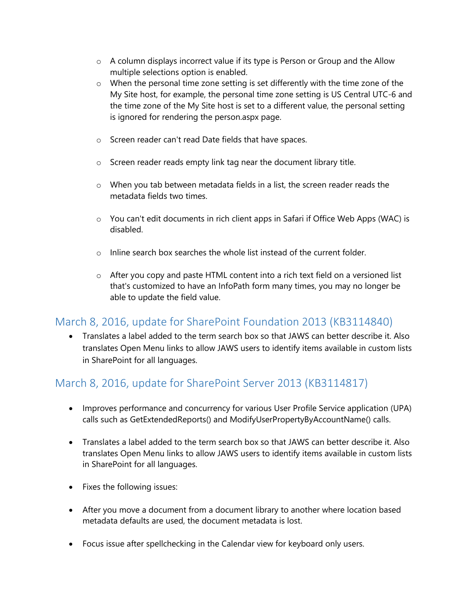- o A column displays incorrect value if its type is Person or Group and the Allow multiple selections option is enabled.
- $\circ$  When the personal time zone setting is set differently with the time zone of the My Site host, for example, the personal time zone setting is US Central UTC-6 and the time zone of the My Site host is set to a different value, the personal setting is ignored for rendering the person.aspx page.
- o Screen reader can't read Date fields that have spaces.
- o Screen reader reads empty link tag near the document library title.
- o When you tab between metadata fields in a list, the screen reader reads the metadata fields two times.
- o You can't edit documents in rich client apps in Safari if Office Web Apps (WAC) is disabled.
- o Inline search box searches the whole list instead of the current folder.
- o After you copy and paste HTML content into a rich text field on a versioned list that's customized to have an InfoPath form many times, you may no longer be able to update the field value.

#### <span id="page-2-0"></span>March 8, 2016, update for SharePoint Foundation 2013 (KB3114840)

 Translates a label added to the term search box so that JAWS can better describe it. Also translates Open Menu links to allow JAWS users to identify items available in custom lists in SharePoint for all languages.

## <span id="page-2-1"></span>March 8, 2016, update for SharePoint Server 2013 (KB3114817)

- Improves performance and concurrency for various User Profile Service application (UPA) calls such as GetExtendedReports() and ModifyUserPropertyByAccountName() calls.
- Translates a label added to the term search box so that JAWS can better describe it. Also translates Open Menu links to allow JAWS users to identify items available in custom lists in SharePoint for all languages.
- Fixes the following issues:
- After you move a document from a document library to another where location based metadata defaults are used, the document metadata is lost.
- Focus issue after spellchecking in the Calendar view for keyboard only users.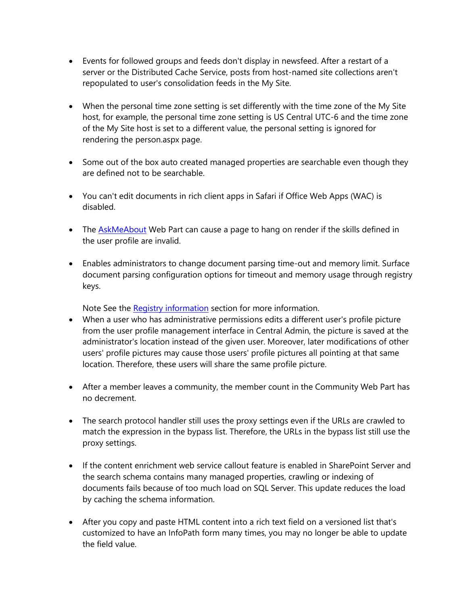- Events for followed groups and feeds don't display in newsfeed. After a restart of a server or the Distributed Cache Service, posts from host-named site collections aren't repopulated to user's consolidation feeds in the My Site.
- When the personal time zone setting is set differently with the time zone of the My Site host, for example, the personal time zone setting is US Central UTC-6 and the time zone of the My Site host is set to a different value, the personal setting is ignored for rendering the person.aspx page.
- Some out of the box auto created managed properties are searchable even though they are defined not to be searchable.
- You can't edit documents in rich client apps in Safari if Office Web Apps (WAC) is disabled.
- The **AskMeAbout** Web Part can cause a page to hang on render if the skills defined in the user profile are invalid.
- Enables administrators to change document parsing time-out and memory limit. Surface document parsing configuration options for timeout and memory usage through registry keys.

Note See the Registry information section for more information.

- When a user who has administrative permissions edits a different user's profile picture from the user profile management interface in Central Admin, the picture is saved at the administrator's location instead of the given user. Moreover, later modifications of other users' profile pictures may cause those users' profile pictures all pointing at that same location. Therefore, these users will share the same profile picture.
- After a member leaves a community, the member count in the Community Web Part has no decrement.
- The search protocol handler still uses the proxy settings even if the URLs are crawled to match the expression in the bypass list. Therefore, the URLs in the bypass list still use the proxy settings.
- If the content enrichment web service callout feature is enabled in SharePoint Server and the search schema contains many managed properties, crawling or indexing of documents fails because of too much load on SQL Server. This update reduces the load by caching the schema information.
- After you copy and paste HTML content into a rich text field on a versioned list that's customized to have an InfoPath form many times, you may no longer be able to update the field value.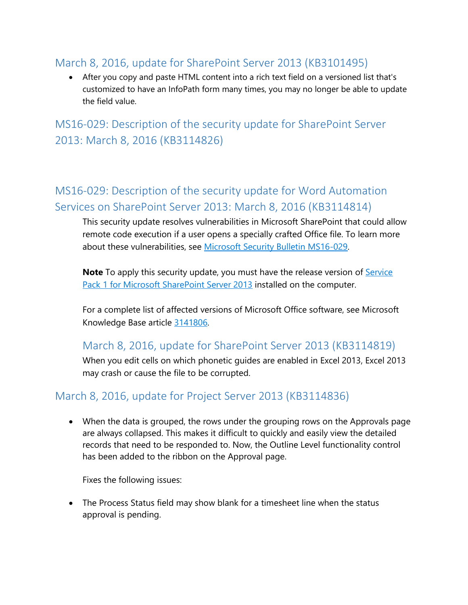#### <span id="page-4-0"></span>March 8, 2016, update for SharePoint Server 2013 (KB3101495)

 After you copy and paste HTML content into a rich text field on a versioned list that's customized to have an InfoPath form many times, you may no longer be able to update the field value.

<span id="page-4-1"></span>MS16-029: Description of the security update for SharePoint Server 2013: March 8, 2016 (KB3114826)

# <span id="page-4-2"></span>MS16-029: Description of the security update for Word Automation Services on SharePoint Server 2013: March 8, 2016 (KB3114814)

This security update resolves vulnerabilities in Microsoft SharePoint that could allow remote code execution if a user opens a specially crafted Office file. To learn more about these vulnerabilities, see [Microsoft Security Bulletin MS16-029.](https://technet.microsoft.com/library/security/MS16-029)

**Note** To apply this security update, you must have the release version of **Service** [Pack 1 for Microsoft SharePoint Server 2013](http://support.microsoft.com/kb/2880552) installed on the computer.

For a complete list of affected versions of Microsoft Office software, see Microsoft Knowledge Base article [3141806.](https://support.microsoft.com/kb/3141806)

#### <span id="page-4-3"></span>March 8, 2016, update for SharePoint Server 2013 (KB3114819)

When you edit cells on which phonetic guides are enabled in Excel 2013, Excel 2013 may crash or cause the file to be corrupted.

## <span id="page-4-4"></span>March 8, 2016, update for Project Server 2013 (KB3114836)

 When the data is grouped, the rows under the grouping rows on the Approvals page are always collapsed. This makes it difficult to quickly and easily view the detailed records that need to be responded to. Now, the Outline Level functionality control has been added to the ribbon on the Approval page.

Fixes the following issues:

 The Process Status field may show blank for a timesheet line when the status approval is pending.